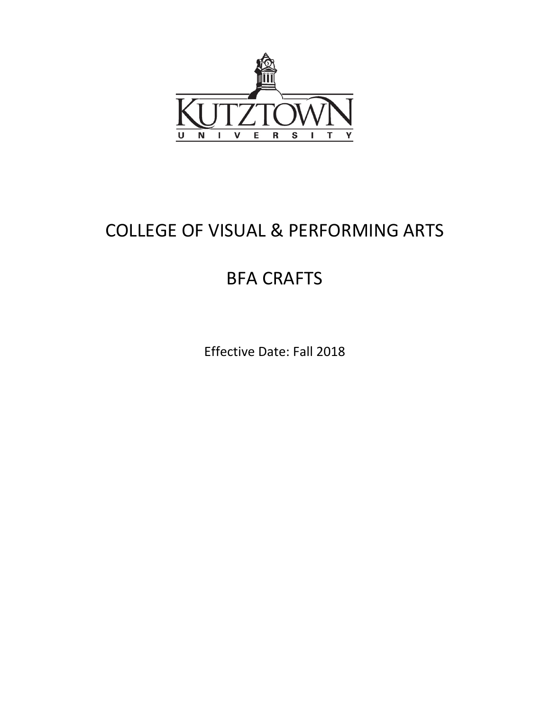

# COLLEGE OF VISUAL & PERFORMING ARTS

## BFA CRAFTS

Effective Date: Fall 2018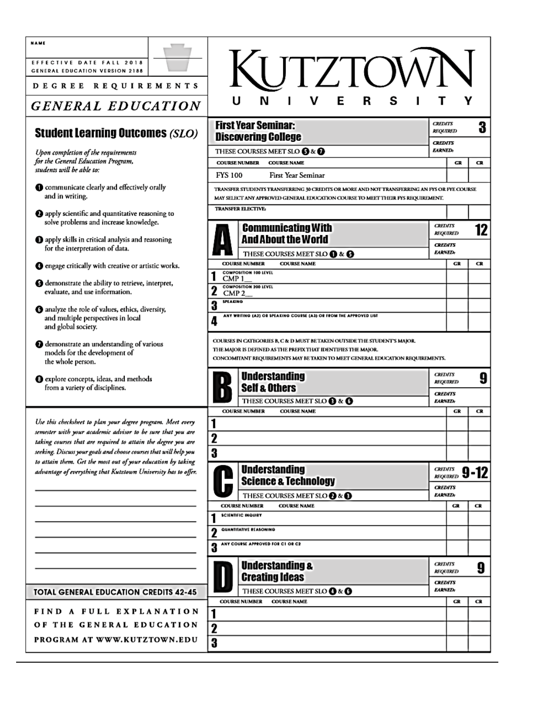| <b>NAME</b><br>EFFECTIVE DATE FALL 2018<br>GENERAL EDUCATION VERSION 2188                                                      |                  | KUTZTOW                                                                                                                                                                                                                     |                                   |                 |           |
|--------------------------------------------------------------------------------------------------------------------------------|------------------|-----------------------------------------------------------------------------------------------------------------------------------------------------------------------------------------------------------------------------|-----------------------------------|-----------------|-----------|
| DEGREE REQUIREMENTS<br><b>GENERAL EDUCATION</b>                                                                                |                  | S<br>N<br>E<br>R                                                                                                                                                                                                            |                                   |                 |           |
| <b>Student Learning Outcomes (SLO)</b>                                                                                         |                  | <b>First Year Seminar:</b><br><b>Discovering College</b>                                                                                                                                                                    | <b>CREDITS</b><br><b>REQUIRED</b> |                 | 3         |
| Upon completion of the requirements                                                                                            |                  | THESE COURSES MEET SLO <b>3</b> & <b>0</b>                                                                                                                                                                                  | <b>CREDITS</b><br><b>EARNED:</b>  |                 |           |
| for the General Education Program,<br>students will be able to:                                                                | <b>FYS 100</b>   | <b>COURSE NUMBER</b><br><b>COURSE NAME</b><br><b>First Year Seminar</b>                                                                                                                                                     |                                   | GR              | <b>CR</b> |
| Communicate clearly and effectively orally                                                                                     |                  | TRANSFER STUDENTS TRANSFERRING 30 CREDITS OR MORE AND NOT TRANSFERRING AN FYS OR FYE COURSE                                                                                                                                 |                                   |                 |           |
| and in writing.                                                                                                                |                  | MAY SELECT ANY APPROVED GENERAL EDUCATION COURSE TO MEET THEIR FYS REQUIREMENT.<br><b>TRANSFER ELECTIVE:</b>                                                                                                                |                                   |                 |           |
| 2 apply scientific and quantitative reasoning to<br>solve problems and increase knowledge.                                     |                  |                                                                                                                                                                                                                             |                                   |                 |           |
| <b>O</b> apply skills in critical analysis and reasoning                                                                       |                  | <b>Communicating With</b><br><b>And About the World</b>                                                                                                                                                                     | <b>CREDITS</b>                    | <b>REQUIRED</b> | 12        |
| for the interpretation of data.                                                                                                |                  | THESE COURSES MEET SLO <b>(D</b> & <b>(B</b>                                                                                                                                                                                | <b>CREDITS</b><br><b>EARNED:</b>  |                 |           |
| <b>O</b> engage critically with creative or artistic works.                                                                    |                  | <b>COURSE NAME</b><br><b>COURSE NUMBER</b>                                                                                                                                                                                  |                                   | GR              | <b>CR</b> |
|                                                                                                                                | CMP <sub>1</sub> | <b>COMPOSITION 100 LEVEL</b>                                                                                                                                                                                                |                                   |                 |           |
| <b>O</b> demonstrate the ability to retrieve, interpret,<br>evaluate, and use information.                                     |                  | <b>COMPOSITION 200 LEVEL</b><br>CMP 2                                                                                                                                                                                       |                                   |                 |           |
|                                                                                                                                | <b>SPEAKING</b>  |                                                                                                                                                                                                                             |                                   |                 |           |
|                                                                                                                                |                  |                                                                                                                                                                                                                             |                                   |                 |           |
| <b>6</b> analyze the role of values, ethics, diversity,<br>and multiple perspectives in local<br>and global society.           | 3<br>4           | ANY WRITING (A2) OR SPEAKING COURSE (A3) OR FROM THE APPROVED LIST                                                                                                                                                          |                                   |                 |           |
| <b>O</b> demonstrate an understanding of various<br>models for the development of<br>the whole person.                         |                  | COURSES IN CATEGORIES B, C & D MUST BE TAKEN OUTSIDE THE STUDENT'S MAJOR.<br>THE MAJOR IS DEFINED AS THE PREFIX THAT IDENTIFIES THE MAJOR.<br>CONCOMITANT REQUIREMENTS MAY BE TAKEN TO MEET GENERAL EDUCATION REQUIREMENTS. |                                   |                 |           |
| <b>O</b> explore concepts, ideas, and methods<br>from a variety of disciplines.                                                |                  | <b>Understanding</b><br><b>Self &amp; Others</b>                                                                                                                                                                            | <b>CREDITS</b>                    | <b>REQUIRED</b> | 9         |
|                                                                                                                                |                  | THESE COURSES MEET SLO <sup>8</sup> & <sup>0</sup>                                                                                                                                                                          | <b>CREDITS</b><br><b>EARNED:</b>  |                 |           |
|                                                                                                                                |                  | <b>COURSE NUMBER</b><br><b>COURSE NAME</b>                                                                                                                                                                                  |                                   | $_{GR}$         | CR.       |
| Use this checksheet to plan your degree program. Meet every                                                                    |                  |                                                                                                                                                                                                                             |                                   |                 |           |
| semester with your academic advisor to be sure that you are<br>taking courses that are required to attain the degree you are   | 2                |                                                                                                                                                                                                                             |                                   |                 |           |
| seeking. Discuss your goals and choose courses that will help you                                                              | 3                |                                                                                                                                                                                                                             |                                   |                 |           |
| to attain them. Get the most out of your education by taking<br>advantage of everything that Kutztown University has to offer. |                  | <b>Understanding</b>                                                                                                                                                                                                        |                                   | CREDITS 9-12    |           |
|                                                                                                                                |                  | <b>Science &amp; Technology</b>                                                                                                                                                                                             | <b>CREDITS</b>                    |                 |           |
|                                                                                                                                |                  | THESE COURSES MEET SLO @ & <sup>@</sup><br><b>COURSE NAME</b><br><b>COURSE NUMBER</b>                                                                                                                                       | <b>EARNED:</b>                    | GR              | CR        |
|                                                                                                                                |                  | <b>SCIENTIFIC INQUIRY</b>                                                                                                                                                                                                   |                                   |                 |           |
|                                                                                                                                |                  | QUANTITATIVE REASONING                                                                                                                                                                                                      |                                   |                 |           |
|                                                                                                                                | 3                | ANY COURSE APPROVED FOR C1 OR C2                                                                                                                                                                                            |                                   |                 |           |
|                                                                                                                                |                  | <b>Understanding &amp;</b>                                                                                                                                                                                                  | <b>CREDITS</b>                    | <b>REQUIRED</b> | 9         |
|                                                                                                                                |                  | <b>Creating Ideas</b>                                                                                                                                                                                                       | <b>CREDITS</b><br><b>EARNED:</b>  |                 |           |
| <b>TOTAL GENERAL EDUCATION CREDITS 42-45</b>                                                                                   |                  | THESE COURSES MEET SLO @ & @<br><b>COURSE NAME</b><br><b>COURSE NUMBER</b>                                                                                                                                                  |                                   | GR              | СR        |
| FIND A FULL EXPLANATION                                                                                                        |                  |                                                                                                                                                                                                                             |                                   |                 |           |
| OF THE GENERAL EDUCATION                                                                                                       | $\mathbf{z}$     |                                                                                                                                                                                                                             |                                   |                 |           |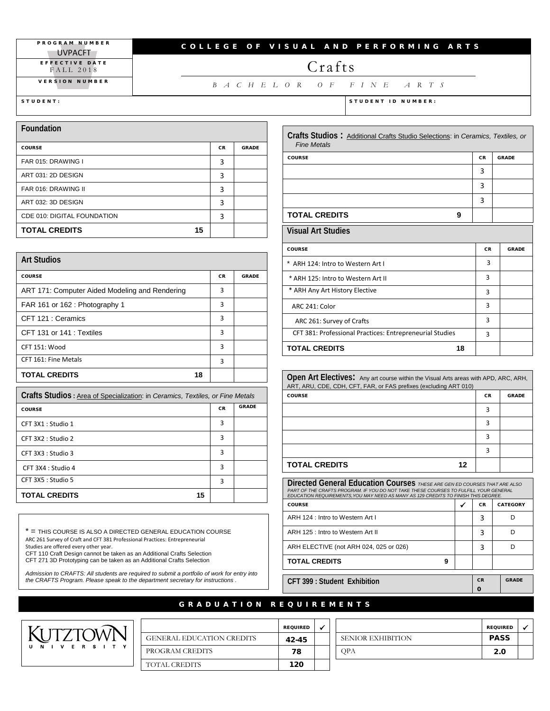PROGRAM NUMBER **UVPACFT** EFFECTIVE DATE FALL 2018

VERSION NUMBER

#### COLLEGE OF VISUAL AND PERFORMING ARTS

## Crafts

*BACHELOR OF FINE ARTS*

**Foundation**  COURSE COURSE AND COURSE AND COURSE AND COURSE AND COURSE AND COURSE AND COURSE AND COURSE AND COURSE AND COUR FAR 015: DRAWING I 3 ART 031: 2D DESIGN 3 FAR 016: DRAWING II 3 ART 032: 3D DESIGN 3 CDE 010: DIGITAL FOUNDATION 3 **TOTAL CREDITS 15**

| <b>Art Studios</b>                             |           |              |  |  |  |
|------------------------------------------------|-----------|--------------|--|--|--|
| <b>COURSE</b>                                  | <b>CR</b> | <b>GRADE</b> |  |  |  |
| ART 171: Computer Aided Modeling and Rendering | 3         |              |  |  |  |
| FAR 161 or 162 : Photography 1                 | 3         |              |  |  |  |
| CFT 121 : Ceramics                             | 3         |              |  |  |  |
| CFT 131 or 141 : Textiles                      | 3         |              |  |  |  |
| CFT 151: Wood                                  | 3         |              |  |  |  |
| CFT 161: Fine Metals                           | 3         |              |  |  |  |
| <b>TOTAL CREDITS</b><br>18                     |           |              |  |  |  |

| Crafts Studios : Area of Specialization: in Ceramics, Textiles, or Fine Metals |           |              |  |  |  |
|--------------------------------------------------------------------------------|-----------|--------------|--|--|--|
| <b>COURSE</b>                                                                  | <b>CR</b> | <b>GRADE</b> |  |  |  |
| CFT 3X1 : Studio 1                                                             | 3         |              |  |  |  |
| CFT 3X2 : Studio 2                                                             | 3         |              |  |  |  |
| CFT 3X3 : Studio 3                                                             | 3         |              |  |  |  |
| CFT 3X4 : Studio 4                                                             | 3         |              |  |  |  |
| CFT 3X5 : Studio 5                                                             | 3         |              |  |  |  |
| <b>TOTAL CREDITS</b><br>15                                                     |           |              |  |  |  |

\* = THIS COURSE IS ALSO A DIRECTED GENERAL EDUCATION COURSE ARC 261 Survey of Craft and CFT 381 Professional Practices: Entrepreneurial

Studies are offered every other year. CFT 110 Craft Design cannot be taken as an Additional Crafts Selection CFT 271 3D Prototyping can be taken as an Additional Crafts Selection

*Admission to CRAFTS: All students are required to submit a portfolio of work for entry into the CRAFTS Program. Please speak to the department secretary for instructions .*



### REQUIRE GENERAL EDUCATION CREDITS 42-45 PROGRAM CREDITS **78** TOTAL CREDITS 120

| Crafts Studios: Additional Crafts Studio Selections: in Ceramics, Textiles, or<br><b>Fine Metals</b> |    |           |              |  |  |
|------------------------------------------------------------------------------------------------------|----|-----------|--------------|--|--|
| <b>COURSE</b>                                                                                        |    | <b>CR</b> | <b>GRADE</b> |  |  |
|                                                                                                      |    | 3         |              |  |  |
|                                                                                                      |    | 3         |              |  |  |
|                                                                                                      |    | 3         |              |  |  |
| <b>TOTAL CREDITS</b>                                                                                 | 9  |           |              |  |  |
| <b>Visual Art Studies</b>                                                                            |    |           |              |  |  |
| <b>COURSE</b>                                                                                        |    | <b>CR</b> | <b>GRADE</b> |  |  |
| * ARH 124: Intro to Western Art I                                                                    |    | 3         |              |  |  |
| * ARH 125: Intro to Western Art II                                                                   |    | 3         |              |  |  |
| * ARH Any Art History Elective                                                                       |    | 3         |              |  |  |
| ARC 241: Color                                                                                       |    | 3         |              |  |  |
| ARC 261: Survey of Crafts                                                                            |    | 3         |              |  |  |
| CFT 381: Professional Practices: Entrepreneurial Studies                                             |    | 3         |              |  |  |
| <b>TOTAL CREDITS</b>                                                                                 | 18 |           |              |  |  |

| Open Art Electives: Any art course within the Visual Arts areas with APD, ARC, ARH,<br>ART, ARU, CDE, CDH, CFT, FAR, or FAS prefixes (excluding ART 010) |           |              |  |  |
|----------------------------------------------------------------------------------------------------------------------------------------------------------|-----------|--------------|--|--|
| <b>COURSE</b>                                                                                                                                            | <b>CR</b> | <b>GRADE</b> |  |  |
|                                                                                                                                                          | 3         |              |  |  |
|                                                                                                                                                          | 3         |              |  |  |
|                                                                                                                                                          | 3         |              |  |  |
|                                                                                                                                                          | 3         |              |  |  |
| <b>TOTAL CREDITS</b><br>12                                                                                                                               |           |              |  |  |

| Directed General Education Courses THESE ARE GEN ED COURSES THAT ARE ALSO<br>PART OF THE CRAFTS PROGRAM. IF YOU DO NOT TAKE THESE COURSES TO FULFILL YOUR GENERAL<br>EDUCATION REQUIREMENTS. YOU MAY NEED AS MANY AS 129 CREDITS TO FINISH THIS DEGREE. |   |           |                 |  |  |
|---------------------------------------------------------------------------------------------------------------------------------------------------------------------------------------------------------------------------------------------------------|---|-----------|-----------------|--|--|
| <b>COURSE</b>                                                                                                                                                                                                                                           | √ | <b>CR</b> | <b>CATEGORY</b> |  |  |
| ARH 124 : Intro to Western Art I                                                                                                                                                                                                                        |   | 3         |                 |  |  |
| ARH 125 : Intro to Western Art II                                                                                                                                                                                                                       |   | 3         |                 |  |  |
| ARH ELECTIVE (not ARH 024, 025 or 026)                                                                                                                                                                                                                  |   | 3         |                 |  |  |
| <b>TOTAL CREDITS</b><br>9                                                                                                                                                                                                                               |   |           |                 |  |  |
|                                                                                                                                                                                                                                                         |   |           |                 |  |  |
| CFT 399 : Student Exhibition                                                                                                                                                                                                                            |   | <b>CR</b> | <b>GRADE</b>    |  |  |
|                                                                                                                                                                                                                                                         |   | Ω         |                 |  |  |

### GRADUATION REQUIREMENTS

| D |                          | <b>REQUIRED</b> |  |
|---|--------------------------|-----------------|--|
|   | <b>SENIOR EXHIBITION</b> | <b>PASS</b>     |  |
|   | OPA                      | 2.0             |  |
|   |                          |                 |  |

STUDENT: STUDENT ID NUMBER: